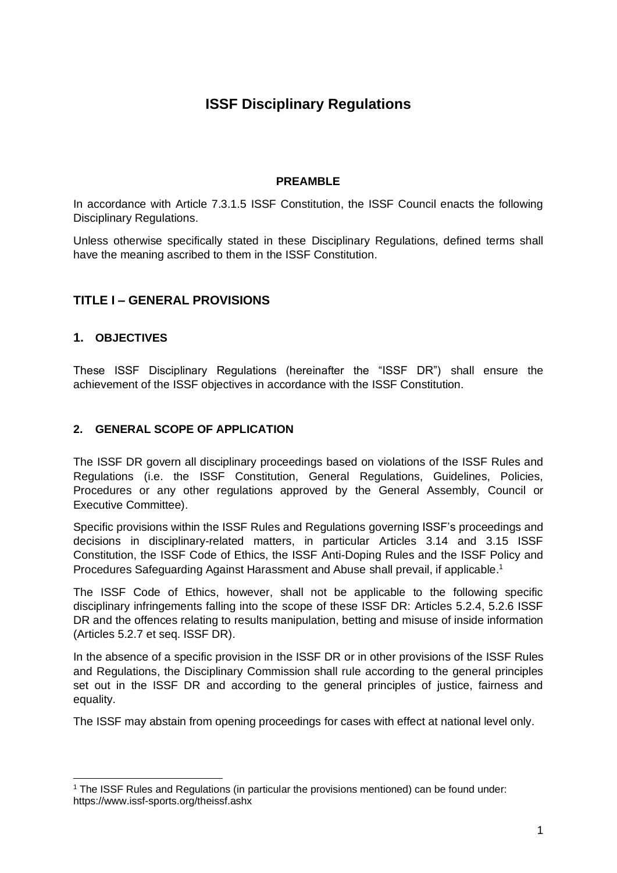# **ISSF Disciplinary Regulations**

# **PREAMBLE**

In accordance with Article 7.3.1.5 ISSF Constitution, the ISSF Council enacts the following Disciplinary Regulations.

Unless otherwise specifically stated in these Disciplinary Regulations, defined terms shall have the meaning ascribed to them in the ISSF Constitution.

# **TITLE I – GENERAL PROVISIONS**

#### **1. OBJECTIVES**

These ISSF Disciplinary Regulations (hereinafter the "ISSF DR") shall ensure the achievement of the ISSF objectives in accordance with the ISSF Constitution.

#### **2. GENERAL SCOPE OF APPLICATION**

The ISSF DR govern all disciplinary proceedings based on violations of the ISSF Rules and Regulations (i.e. the ISSF Constitution, General Regulations, Guidelines, Policies, Procedures or any other regulations approved by the General Assembly, Council or Executive Committee).

Specific provisions within the ISSF Rules and Regulations governing ISSF's proceedings and decisions in disciplinary-related matters, in particular Articles 3.14 and 3.15 ISSF Constitution, the ISSF Code of Ethics, the ISSF Anti-Doping Rules and the ISSF Policy and Procedures Safeguarding Against Harassment and Abuse shall prevail, if applicable.<sup>1</sup>

The ISSF Code of Ethics, however, shall not be applicable to the following specific disciplinary infringements falling into the scope of these ISSF DR: Articles 5.2.4, 5.2.6 ISSF DR and the offences relating to results manipulation, betting and misuse of inside information (Articles 5.2.7 et seq. ISSF DR).

In the absence of a specific provision in the ISSF DR or in other provisions of the ISSF Rules and Regulations, the Disciplinary Commission shall rule according to the general principles set out in the ISSF DR and according to the general principles of justice, fairness and equality.

The ISSF may abstain from opening proceedings for cases with effect at national level only.

<sup>1</sup> The ISSF Rules and Regulations (in particular the provisions mentioned) can be found under: https://www.issf-sports.org/theissf.ashx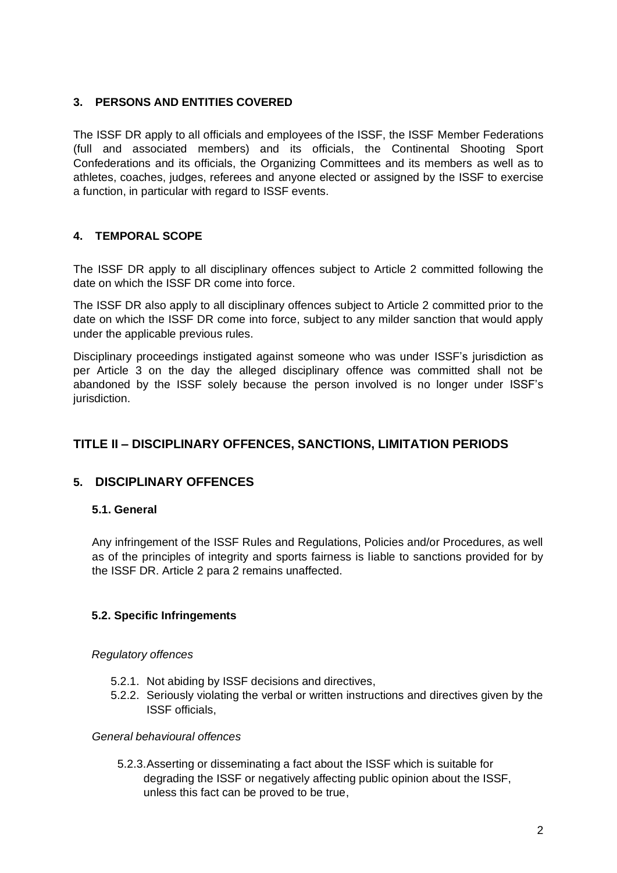# **3. PERSONS AND ENTITIES COVERED**

The ISSF DR apply to all officials and employees of the ISSF, the ISSF Member Federations (full and associated members) and its officials, the Continental Shooting Sport Confederations and its officials, the Organizing Committees and its members as well as to athletes, coaches, judges, referees and anyone elected or assigned by the ISSF to exercise a function, in particular with regard to ISSF events.

# **4. TEMPORAL SCOPE**

The ISSF DR apply to all disciplinary offences subject to Article 2 committed following the date on which the ISSF DR come into force.

The ISSF DR also apply to all disciplinary offences subject to Article 2 committed prior to the date on which the ISSF DR come into force, subject to any milder sanction that would apply under the applicable previous rules.

Disciplinary proceedings instigated against someone who was under ISSF's jurisdiction as per Article 3 on the day the alleged disciplinary offence was committed shall not be abandoned by the ISSF solely because the person involved is no longer under ISSF's jurisdiction.

# **TITLE II – DISCIPLINARY OFFENCES, SANCTIONS, LIMITATION PERIODS**

# **5. DISCIPLINARY OFFENCES**

# **5.1. General**

Any infringement of the ISSF Rules and Regulations, Policies and/or Procedures, as well as of the principles of integrity and sports fairness is liable to sanctions provided for by the ISSF DR. Article 2 para 2 remains unaffected.

# **5.2. Specific Infringements**

#### *Regulatory offences*

- 5.2.1. Not abiding by ISSF decisions and directives,
- 5.2.2. Seriously violating the verbal or written instructions and directives given by the ISSF officials,

#### *General behavioural offences*

5.2.3.Asserting or disseminating a fact about the ISSF which is suitable for degrading the ISSF or negatively affecting public opinion about the ISSF, unless this fact can be proved to be true,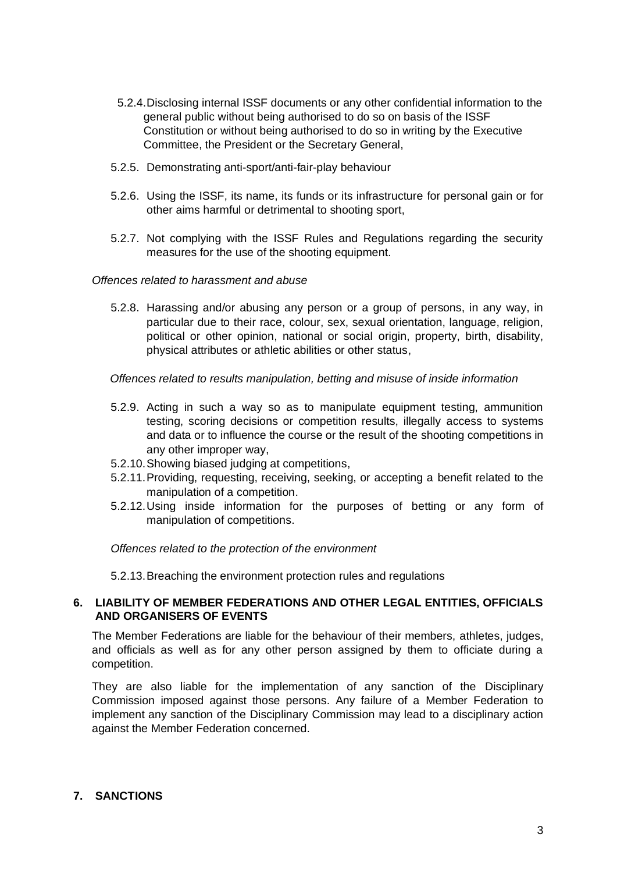- 5.2.4.Disclosing internal ISSF documents or any other confidential information to the general public without being authorised to do so on basis of the ISSF Constitution or without being authorised to do so in writing by the Executive Committee, the President or the Secretary General,
- 5.2.5. Demonstrating anti-sport/anti-fair-play behaviour
- 5.2.6. Using the ISSF, its name, its funds or its infrastructure for personal gain or for other aims harmful or detrimental to shooting sport,
- 5.2.7. Not complying with the ISSF Rules and Regulations regarding the security measures for the use of the shooting equipment.

#### *Offences related to harassment and abuse*

5.2.8. Harassing and/or abusing any person or a group of persons, in any way, in particular due to their race, colour, sex, sexual orientation, language, religion, political or other opinion, national or social origin, property, birth, disability, physical attributes or athletic abilities or other status,

*Offences related to results manipulation, betting and misuse of inside information*

- 5.2.9. Acting in such a way so as to manipulate equipment testing, ammunition testing, scoring decisions or competition results, illegally access to systems and data or to influence the course or the result of the shooting competitions in any other improper way,
- 5.2.10.Showing biased judging at competitions,
- 5.2.11.Providing, requesting, receiving, seeking, or accepting a benefit related to the manipulation of a competition.
- 5.2.12.Using inside information for the purposes of betting or any form of manipulation of competitions.

*Offences related to the protection of the environment*

5.2.13.Breaching the environment protection rules and regulations

#### **6. LIABILITY OF MEMBER FEDERATIONS AND OTHER LEGAL ENTITIES, OFFICIALS AND ORGANISERS OF EVENTS**

The Member Federations are liable for the behaviour of their members, athletes, judges, and officials as well as for any other person assigned by them to officiate during a competition.

They are also liable for the implementation of any sanction of the Disciplinary Commission imposed against those persons. Any failure of a Member Federation to implement any sanction of the Disciplinary Commission may lead to a disciplinary action against the Member Federation concerned.

#### **7. SANCTIONS**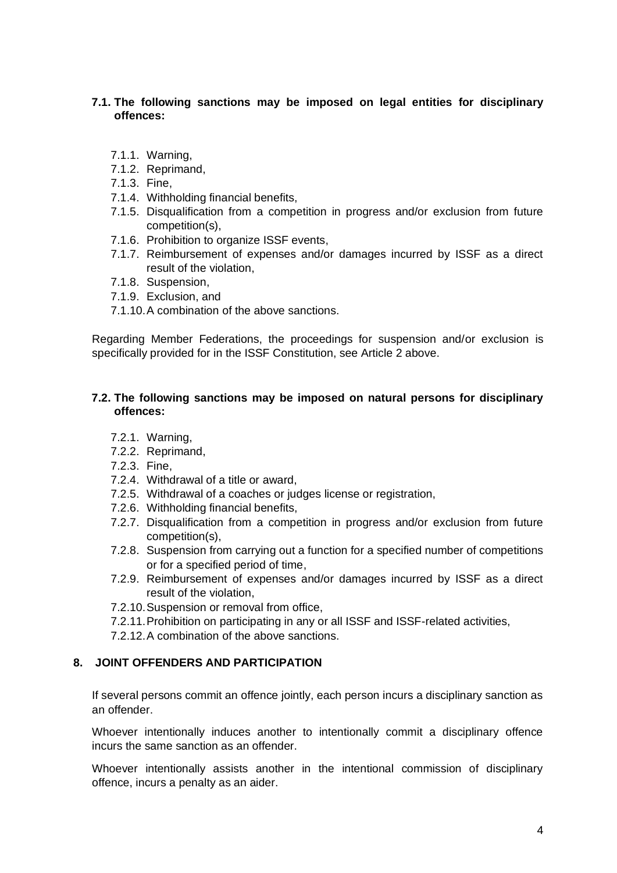# **7.1. The following sanctions may be imposed on legal entities for disciplinary offences:**

- 7.1.1. Warning,
- 7.1.2. Reprimand,
- 7.1.3. Fine,
- 7.1.4. Withholding financial benefits,
- 7.1.5. Disqualification from a competition in progress and/or exclusion from future competition(s),
- 7.1.6. Prohibition to organize ISSF events,
- 7.1.7. Reimbursement of expenses and/or damages incurred by ISSF as a direct result of the violation,
- 7.1.8. Suspension,
- 7.1.9. Exclusion, and
- 7.1.10.A combination of the above sanctions.

Regarding Member Federations, the proceedings for suspension and/or exclusion is specifically provided for in the ISSF Constitution, see Article 2 above.

#### **7.2. The following sanctions may be imposed on natural persons for disciplinary offences:**

- 7.2.1. Warning,
- 7.2.2. Reprimand,
- 7.2.3. Fine,
- 7.2.4. Withdrawal of a title or award,
- 7.2.5. Withdrawal of a coaches or judges license or registration,
- 7.2.6. Withholding financial benefits,
- 7.2.7. Disqualification from a competition in progress and/or exclusion from future competition(s),
- 7.2.8. Suspension from carrying out a function for a specified number of competitions or for a specified period of time,
- 7.2.9. Reimbursement of expenses and/or damages incurred by ISSF as a direct result of the violation,
- 7.2.10.Suspension or removal from office,
- 7.2.11.Prohibition on participating in any or all ISSF and ISSF-related activities,
- 7.2.12.A combination of the above sanctions.

# **8. JOINT OFFENDERS AND PARTICIPATION**

If several persons commit an offence jointly, each person incurs a disciplinary sanction as an offender.

Whoever intentionally induces another to intentionally commit a disciplinary offence incurs the same sanction as an offender.

Whoever intentionally assists another in the intentional commission of disciplinary offence, incurs a penalty as an aider.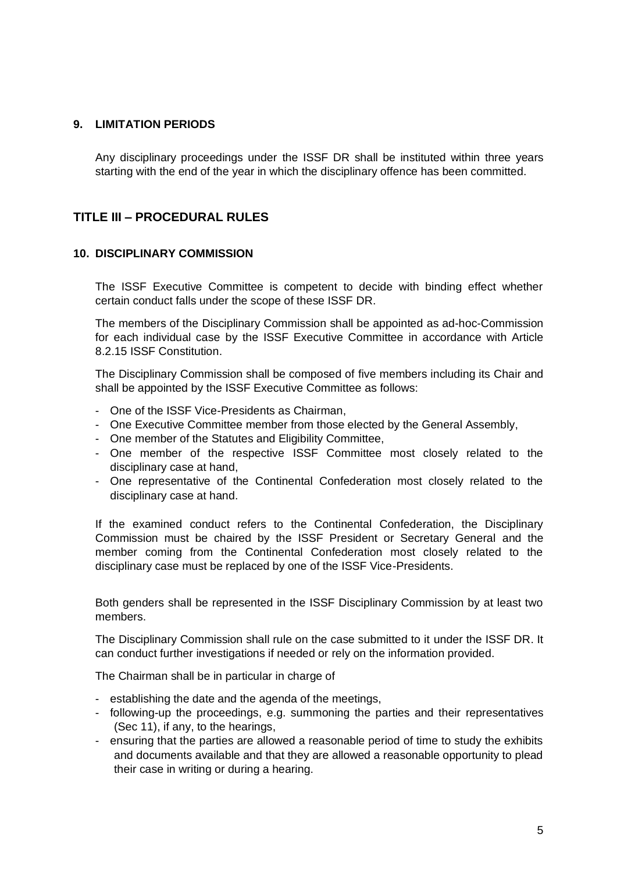### **9. LIMITATION PERIODS**

Any disciplinary proceedings under the ISSF DR shall be instituted within three years starting with the end of the year in which the disciplinary offence has been committed.

# **TITLE III – PROCEDURAL RULES**

# **10. DISCIPLINARY COMMISSION**

The ISSF Executive Committee is competent to decide with binding effect whether certain conduct falls under the scope of these ISSF DR.

The members of the Disciplinary Commission shall be appointed as ad-hoc-Commission for each individual case by the ISSF Executive Committee in accordance with Article 8.2.15 ISSF Constitution.

The Disciplinary Commission shall be composed of five members including its Chair and shall be appointed by the ISSF Executive Committee as follows:

- One of the ISSF Vice-Presidents as Chairman,
- One Executive Committee member from those elected by the General Assembly,
- One member of the Statutes and Eligibility Committee,
- One member of the respective ISSF Committee most closely related to the disciplinary case at hand,
- One representative of the Continental Confederation most closely related to the disciplinary case at hand.

If the examined conduct refers to the Continental Confederation, the Disciplinary Commission must be chaired by the ISSF President or Secretary General and the member coming from the Continental Confederation most closely related to the disciplinary case must be replaced by one of the ISSF Vice-Presidents.

Both genders shall be represented in the ISSF Disciplinary Commission by at least two members.

The Disciplinary Commission shall rule on the case submitted to it under the ISSF DR. It can conduct further investigations if needed or rely on the information provided.

The Chairman shall be in particular in charge of

- establishing the date and the agenda of the meetings,
- following-up the proceedings, e.g. summoning the parties and their representatives (Sec 11), if any, to the hearings,
- ensuring that the parties are allowed a reasonable period of time to study the exhibits and documents available and that they are allowed a reasonable opportunity to plead their case in writing or during a hearing.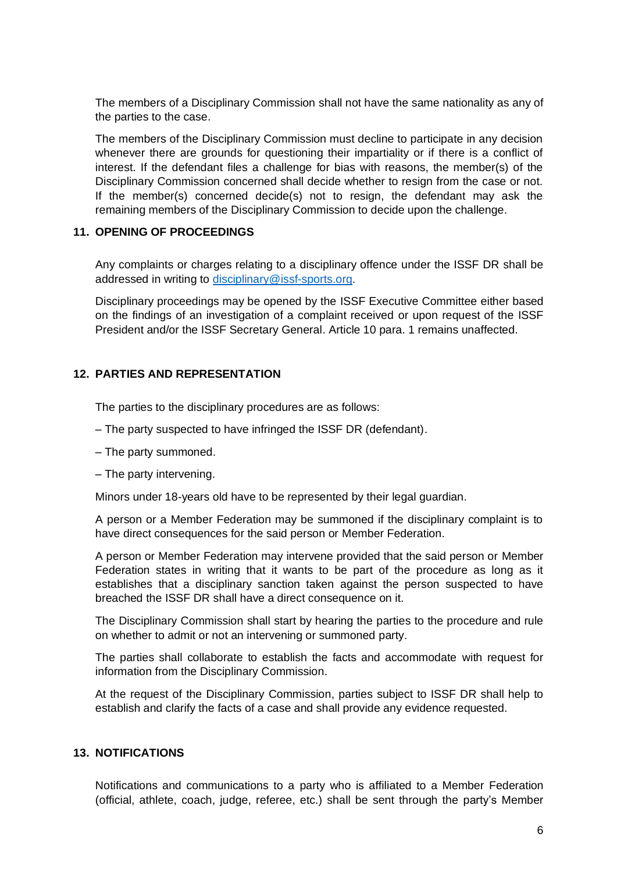The members of a Disciplinary Commission shall not have the same nationality as any of the parties to the case.

The members of the Disciplinary Commission must decline to participate in any decision whenever there are grounds for questioning their impartiality or if there is a conflict of interest. If the defendant files a challenge for bias with reasons, the member(s) of the Disciplinary Commission concerned shall decide whether to resign from the case or not. If the member(s) concerned decide(s) not to resign, the defendant may ask the remaining members of the Disciplinary Commission to decide upon the challenge.

### **11. OPENING OF PROCEEDINGS**

Any complaints or charges relating to a disciplinary offence under the ISSF DR shall be addressed in writing to [disciplinary@issf-sports.org.](mailto:disciplinary@issf-sports.org)

Disciplinary proceedings may be opened by the ISSF Executive Committee either based on the findings of an investigation of a complaint received or upon request of the ISSF President and/or the ISSF Secretary General. Article 10 para. 1 remains unaffected.

# **12. PARTIES AND REPRESENTATION**

The parties to the disciplinary procedures are as follows:

- The party suspected to have infringed the ISSF DR (defendant).
- The party summoned.
- The party intervening.

Minors under 18-years old have to be represented by their legal guardian.

A person or a Member Federation may be summoned if the disciplinary complaint is to have direct consequences for the said person or Member Federation.

A person or Member Federation may intervene provided that the said person or Member Federation states in writing that it wants to be part of the procedure as long as it establishes that a disciplinary sanction taken against the person suspected to have breached the ISSF DR shall have a direct consequence on it.

The Disciplinary Commission shall start by hearing the parties to the procedure and rule on whether to admit or not an intervening or summoned party.

The parties shall collaborate to establish the facts and accommodate with request for information from the Disciplinary Commission.

At the request of the Disciplinary Commission, parties subject to ISSF DR shall help to establish and clarify the facts of a case and shall provide any evidence requested.

# **13. NOTIFICATIONS**

Notifications and communications to a party who is affiliated to a Member Federation (official, athlete, coach, judge, referee, etc.) shall be sent through the party's Member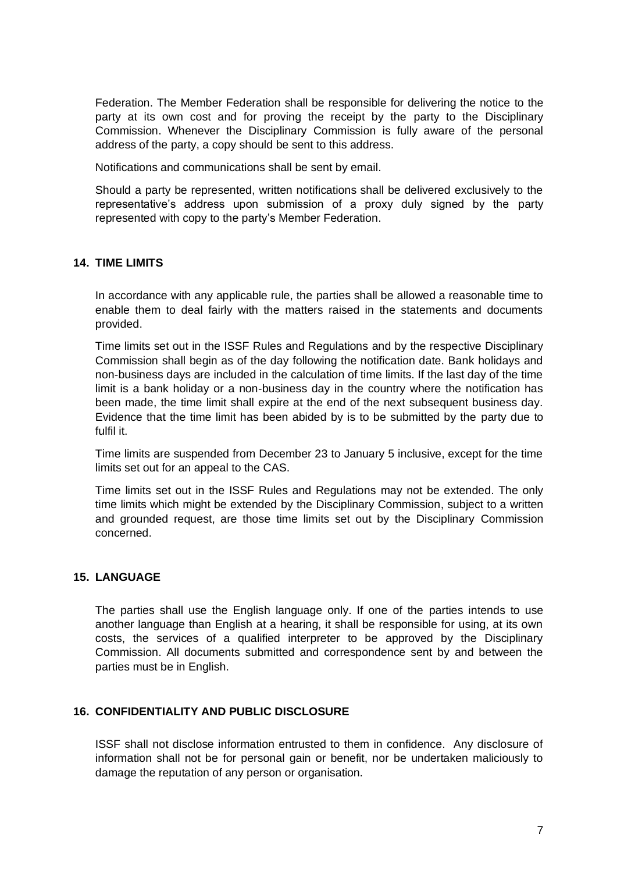Federation. The Member Federation shall be responsible for delivering the notice to the party at its own cost and for proving the receipt by the party to the Disciplinary Commission. Whenever the Disciplinary Commission is fully aware of the personal address of the party, a copy should be sent to this address.

Notifications and communications shall be sent by email.

Should a party be represented, written notifications shall be delivered exclusively to the representative's address upon submission of a proxy duly signed by the party represented with copy to the party's Member Federation.

# **14. TIME LIMITS**

In accordance with any applicable rule, the parties shall be allowed a reasonable time to enable them to deal fairly with the matters raised in the statements and documents provided.

Time limits set out in the ISSF Rules and Regulations and by the respective Disciplinary Commission shall begin as of the day following the notification date. Bank holidays and non-business days are included in the calculation of time limits. If the last day of the time limit is a bank holiday or a non-business day in the country where the notification has been made, the time limit shall expire at the end of the next subsequent business day. Evidence that the time limit has been abided by is to be submitted by the party due to fulfil it.

Time limits are suspended from December 23 to January 5 inclusive, except for the time limits set out for an appeal to the CAS.

Time limits set out in the ISSF Rules and Regulations may not be extended. The only time limits which might be extended by the Disciplinary Commission, subject to a written and grounded request, are those time limits set out by the Disciplinary Commission concerned.

#### **15. LANGUAGE**

The parties shall use the English language only. If one of the parties intends to use another language than English at a hearing, it shall be responsible for using, at its own costs, the services of a qualified interpreter to be approved by the Disciplinary Commission. All documents submitted and correspondence sent by and between the parties must be in English.

#### **16. CONFIDENTIALITY AND PUBLIC DISCLOSURE**

ISSF shall not disclose information entrusted to them in confidence. Any disclosure of information shall not be for personal gain or benefit, nor be undertaken maliciously to damage the reputation of any person or organisation.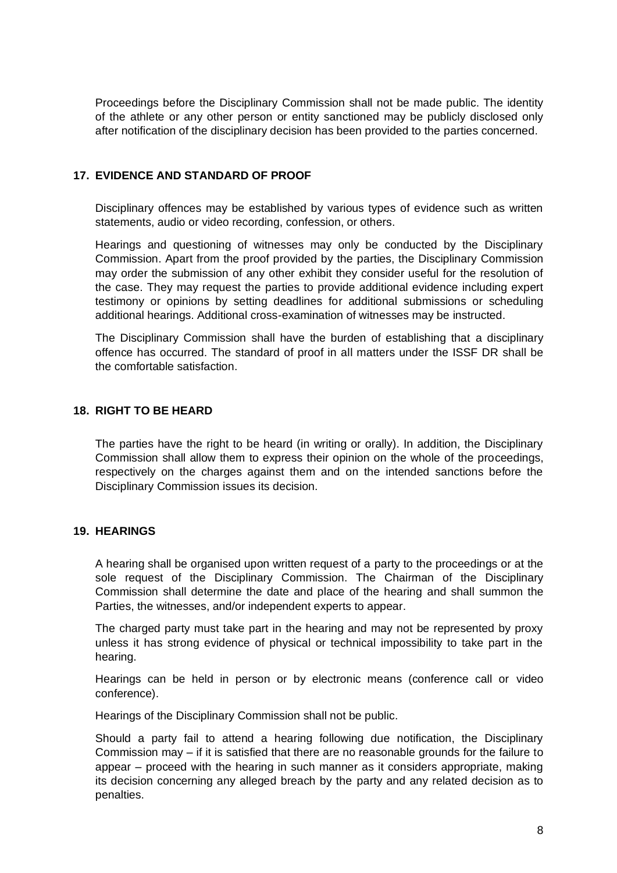Proceedings before the Disciplinary Commission shall not be made public. The identity of the athlete or any other person or entity sanctioned may be publicly disclosed only after notification of the disciplinary decision has been provided to the parties concerned.

# **17. EVIDENCE AND STANDARD OF PROOF**

Disciplinary offences may be established by various types of evidence such as written statements, audio or video recording, confession, or others.

Hearings and questioning of witnesses may only be conducted by the Disciplinary Commission. Apart from the proof provided by the parties, the Disciplinary Commission may order the submission of any other exhibit they consider useful for the resolution of the case. They may request the parties to provide additional evidence including expert testimony or opinions by setting deadlines for additional submissions or scheduling additional hearings. Additional cross-examination of witnesses may be instructed.

The Disciplinary Commission shall have the burden of establishing that a disciplinary offence has occurred. The standard of proof in all matters under the ISSF DR shall be the comfortable satisfaction.

#### **18. RIGHT TO BE HEARD**

The parties have the right to be heard (in writing or orally). In addition, the Disciplinary Commission shall allow them to express their opinion on the whole of the proceedings, respectively on the charges against them and on the intended sanctions before the Disciplinary Commission issues its decision.

#### **19. HEARINGS**

A hearing shall be organised upon written request of a party to the proceedings or at the sole request of the Disciplinary Commission. The Chairman of the Disciplinary Commission shall determine the date and place of the hearing and shall summon the Parties, the witnesses, and/or independent experts to appear.

The charged party must take part in the hearing and may not be represented by proxy unless it has strong evidence of physical or technical impossibility to take part in the hearing.

Hearings can be held in person or by electronic means (conference call or video conference).

Hearings of the Disciplinary Commission shall not be public.

Should a party fail to attend a hearing following due notification, the Disciplinary Commission may  $-$  if it is satisfied that there are no reasonable grounds for the failure to appear – proceed with the hearing in such manner as it considers appropriate, making its decision concerning any alleged breach by the party and any related decision as to penalties.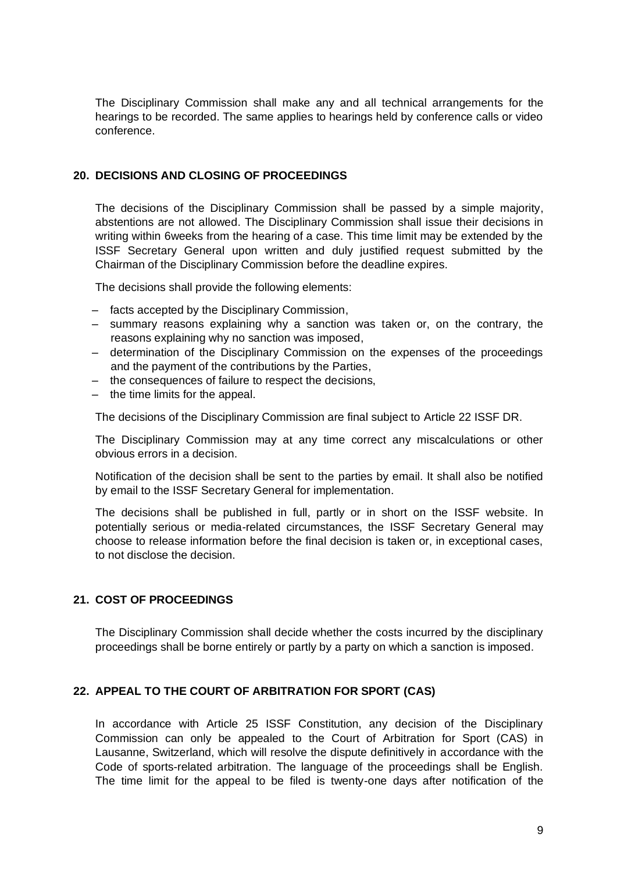The Disciplinary Commission shall make any and all technical arrangements for the hearings to be recorded. The same applies to hearings held by conference calls or video conference.

# **20. DECISIONS AND CLOSING OF PROCEEDINGS**

The decisions of the Disciplinary Commission shall be passed by a simple majority, abstentions are not allowed. The Disciplinary Commission shall issue their decisions in writing within 6weeks from the hearing of a case. This time limit may be extended by the ISSF Secretary General upon written and duly justified request submitted by the Chairman of the Disciplinary Commission before the deadline expires.

The decisions shall provide the following elements:

- facts accepted by the Disciplinary Commission,
- summary reasons explaining why a sanction was taken or, on the contrary, the reasons explaining why no sanction was imposed,
- determination of the Disciplinary Commission on the expenses of the proceedings and the payment of the contributions by the Parties,
- the consequences of failure to respect the decisions,
- the time limits for the appeal.

The decisions of the Disciplinary Commission are final subject to Article 22 ISSF DR.

The Disciplinary Commission may at any time correct any miscalculations or other obvious errors in a decision.

Notification of the decision shall be sent to the parties by email. It shall also be notified by email to the ISSF Secretary General for implementation.

The decisions shall be published in full, partly or in short on the ISSF website. In potentially serious or media-related circumstances, the ISSF Secretary General may choose to release information before the final decision is taken or, in exceptional cases, to not disclose the decision.

#### **21. COST OF PROCEEDINGS**

The Disciplinary Commission shall decide whether the costs incurred by the disciplinary proceedings shall be borne entirely or partly by a party on which a sanction is imposed.

#### **22. APPEAL TO THE COURT OF ARBITRATION FOR SPORT (CAS)**

In accordance with Article 25 ISSF Constitution, any decision of the Disciplinary Commission can only be appealed to the Court of Arbitration for Sport (CAS) in Lausanne, Switzerland, which will resolve the dispute definitively in accordance with the Code of sports-related arbitration. The language of the proceedings shall be English. The time limit for the appeal to be filed is twenty-one days after notification of the